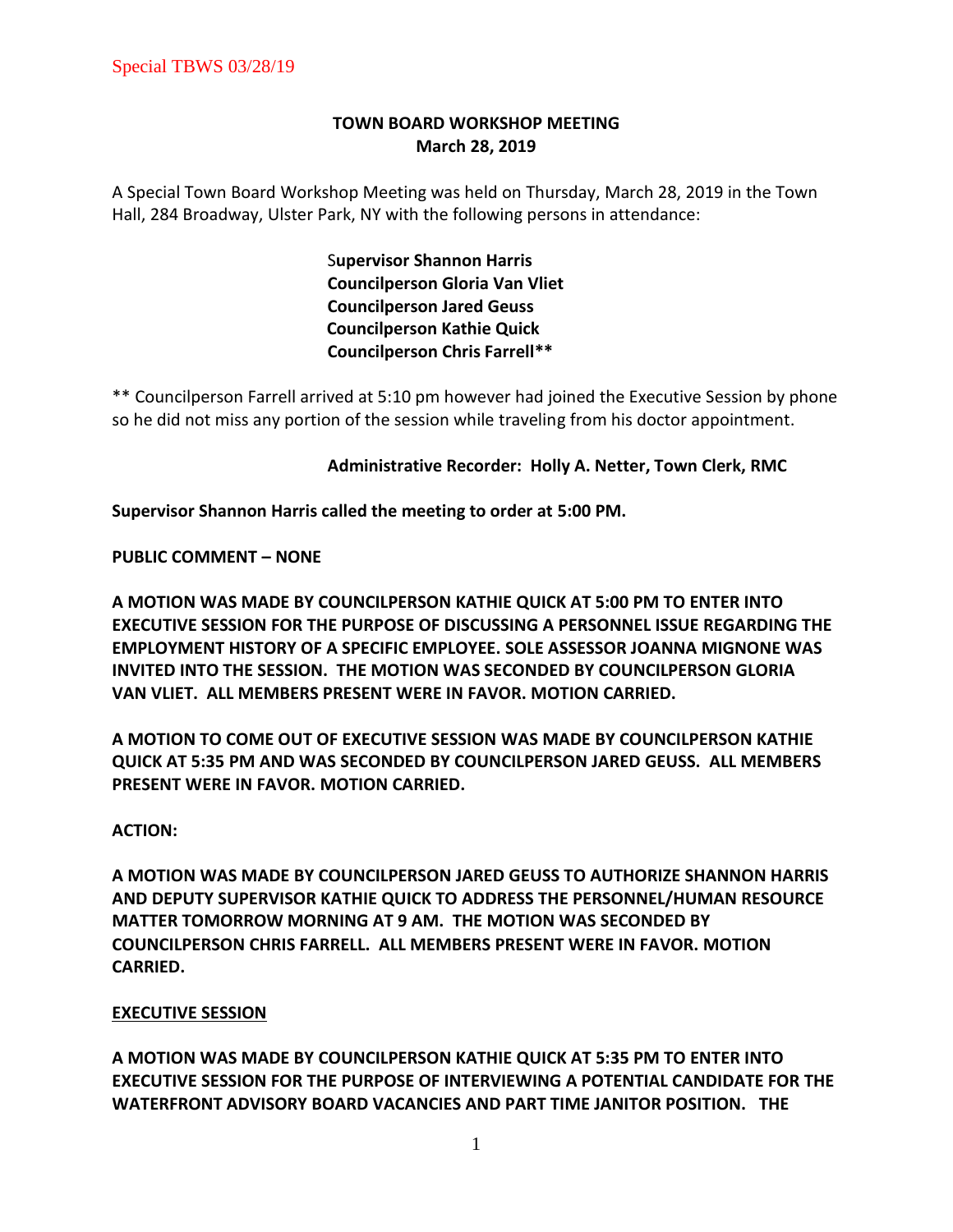# **TOWN BOARD WORKSHOP MEETING March 28, 2019**

A Special Town Board Workshop Meeting was held on Thursday, March 28, 2019 in the Town Hall, 284 Broadway, Ulster Park, NY with the following persons in attendance:

> S**upervisor Shannon Harris Councilperson Gloria Van Vliet Councilperson Jared Geuss Councilperson Kathie Quick Councilperson Chris Farrell\*\***

\*\* Councilperson Farrell arrived at 5:10 pm however had joined the Executive Session by phone so he did not miss any portion of the session while traveling from his doctor appointment.

# **Administrative Recorder: Holly A. Netter, Town Clerk, RMC**

**Supervisor Shannon Harris called the meeting to order at 5:00 PM.** 

**PUBLIC COMMENT – NONE**

**A MOTION WAS MADE BY COUNCILPERSON KATHIE QUICK AT 5:00 PM TO ENTER INTO EXECUTIVE SESSION FOR THE PURPOSE OF DISCUSSING A PERSONNEL ISSUE REGARDING THE EMPLOYMENT HISTORY OF A SPECIFIC EMPLOYEE. SOLE ASSESSOR JOANNA MIGNONE WAS INVITED INTO THE SESSION. THE MOTION WAS SECONDED BY COUNCILPERSON GLORIA VAN VLIET. ALL MEMBERS PRESENT WERE IN FAVOR. MOTION CARRIED.** 

**A MOTION TO COME OUT OF EXECUTIVE SESSION WAS MADE BY COUNCILPERSON KATHIE QUICK AT 5:35 PM AND WAS SECONDED BY COUNCILPERSON JARED GEUSS. ALL MEMBERS PRESENT WERE IN FAVOR. MOTION CARRIED.** 

# **ACTION:**

**A MOTION WAS MADE BY COUNCILPERSON JARED GEUSS TO AUTHORIZE SHANNON HARRIS AND DEPUTY SUPERVISOR KATHIE QUICK TO ADDRESS THE PERSONNEL/HUMAN RESOURCE MATTER TOMORROW MORNING AT 9 AM. THE MOTION WAS SECONDED BY COUNCILPERSON CHRIS FARRELL. ALL MEMBERS PRESENT WERE IN FAVOR. MOTION CARRIED.** 

## **EXECUTIVE SESSION**

**A MOTION WAS MADE BY COUNCILPERSON KATHIE QUICK AT 5:35 PM TO ENTER INTO EXECUTIVE SESSION FOR THE PURPOSE OF INTERVIEWING A POTENTIAL CANDIDATE FOR THE WATERFRONT ADVISORY BOARD VACANCIES AND PART TIME JANITOR POSITION. THE**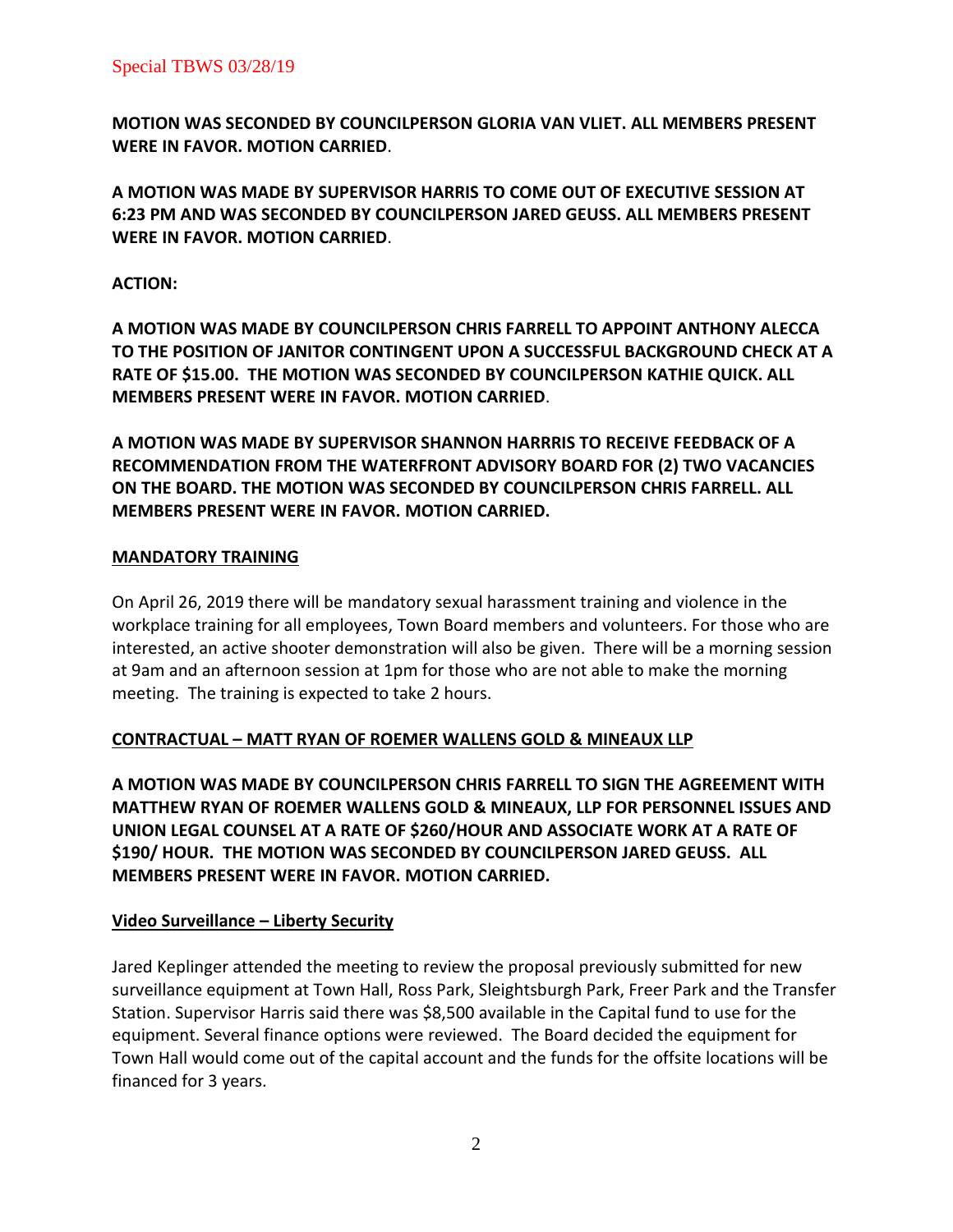**MOTION WAS SECONDED BY COUNCILPERSON GLORIA VAN VLIET. ALL MEMBERS PRESENT WERE IN FAVOR. MOTION CARRIED**.

**A MOTION WAS MADE BY SUPERVISOR HARRIS TO COME OUT OF EXECUTIVE SESSION AT 6:23 PM AND WAS SECONDED BY COUNCILPERSON JARED GEUSS. ALL MEMBERS PRESENT WERE IN FAVOR. MOTION CARRIED**.

# **ACTION:**

**A MOTION WAS MADE BY COUNCILPERSON CHRIS FARRELL TO APPOINT ANTHONY ALECCA TO THE POSITION OF JANITOR CONTINGENT UPON A SUCCESSFUL BACKGROUND CHECK AT A RATE OF \$15.00. THE MOTION WAS SECONDED BY COUNCILPERSON KATHIE QUICK. ALL MEMBERS PRESENT WERE IN FAVOR. MOTION CARRIED**.

**A MOTION WAS MADE BY SUPERVISOR SHANNON HARRRIS TO RECEIVE FEEDBACK OF A RECOMMENDATION FROM THE WATERFRONT ADVISORY BOARD FOR (2) TWO VACANCIES ON THE BOARD. THE MOTION WAS SECONDED BY COUNCILPERSON CHRIS FARRELL. ALL MEMBERS PRESENT WERE IN FAVOR. MOTION CARRIED.** 

# **MANDATORY TRAINING**

On April 26, 2019 there will be mandatory sexual harassment training and violence in the workplace training for all employees, Town Board members and volunteers. For those who are interested, an active shooter demonstration will also be given. There will be a morning session at 9am and an afternoon session at 1pm for those who are not able to make the morning meeting. The training is expected to take 2 hours.

# **CONTRACTUAL – MATT RYAN OF ROEMER WALLENS GOLD & MINEAUX LLP**

**A MOTION WAS MADE BY COUNCILPERSON CHRIS FARRELL TO SIGN THE AGREEMENT WITH MATTHEW RYAN OF ROEMER WALLENS GOLD & MINEAUX, LLP FOR PERSONNEL ISSUES AND UNION LEGAL COUNSEL AT A RATE OF \$260/HOUR AND ASSOCIATE WORK AT A RATE OF \$190/ HOUR. THE MOTION WAS SECONDED BY COUNCILPERSON JARED GEUSS. ALL MEMBERS PRESENT WERE IN FAVOR. MOTION CARRIED.** 

# **Video Surveillance – Liberty Security**

Jared Keplinger attended the meeting to review the proposal previously submitted for new surveillance equipment at Town Hall, Ross Park, Sleightsburgh Park, Freer Park and the Transfer Station. Supervisor Harris said there was \$8,500 available in the Capital fund to use for the equipment. Several finance options were reviewed. The Board decided the equipment for Town Hall would come out of the capital account and the funds for the offsite locations will be financed for 3 years.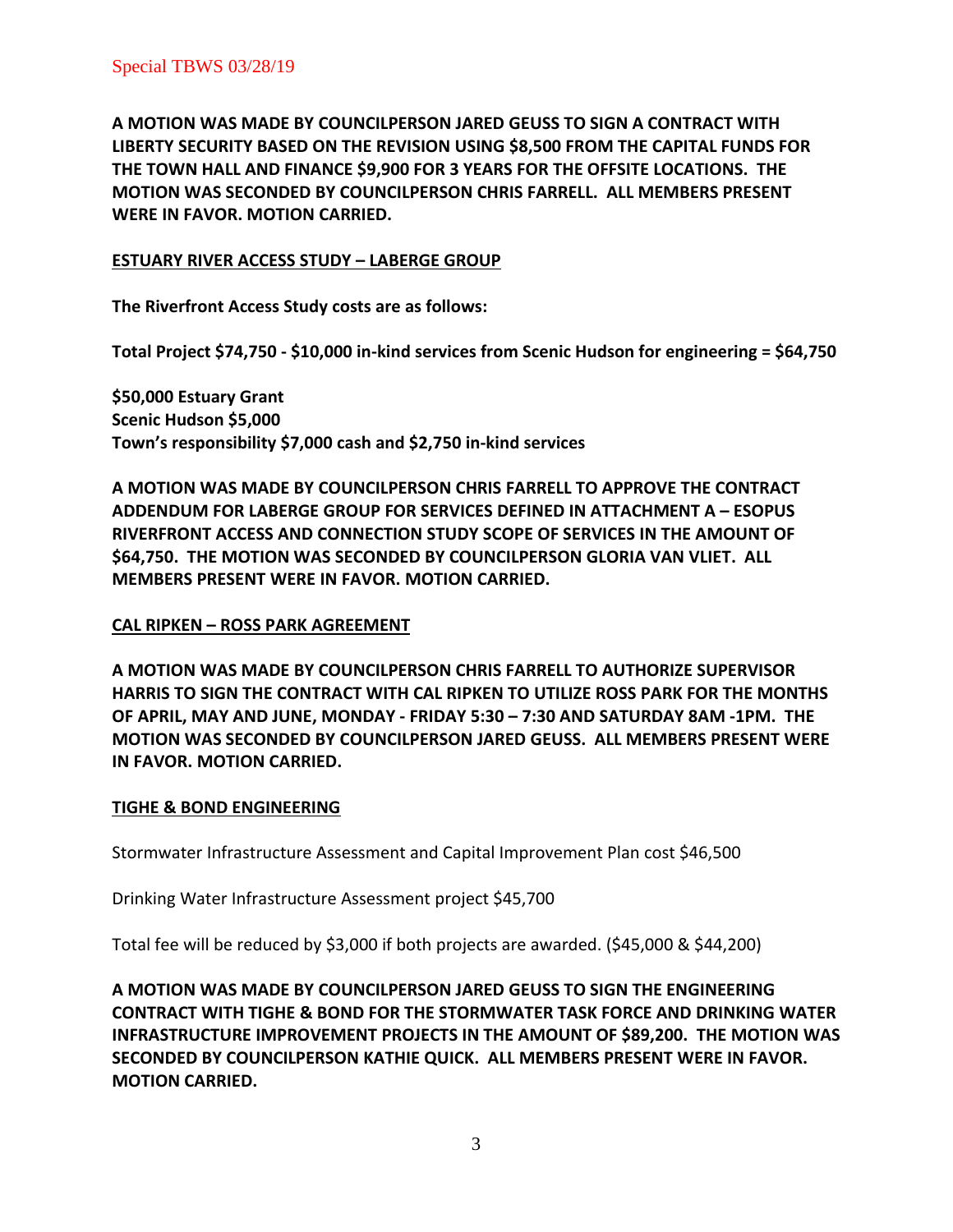**A MOTION WAS MADE BY COUNCILPERSON JARED GEUSS TO SIGN A CONTRACT WITH LIBERTY SECURITY BASED ON THE REVISION USING \$8,500 FROM THE CAPITAL FUNDS FOR THE TOWN HALL AND FINANCE \$9,900 FOR 3 YEARS FOR THE OFFSITE LOCATIONS. THE MOTION WAS SECONDED BY COUNCILPERSON CHRIS FARRELL. ALL MEMBERS PRESENT WERE IN FAVOR. MOTION CARRIED.** 

# **ESTUARY RIVER ACCESS STUDY – LABERGE GROUP**

**The Riverfront Access Study costs are as follows:**

**Total Project \$74,750 - \$10,000 in-kind services from Scenic Hudson for engineering = \$64,750**

**\$50,000 Estuary Grant Scenic Hudson \$5,000 Town's responsibility \$7,000 cash and \$2,750 in-kind services**

**A MOTION WAS MADE BY COUNCILPERSON CHRIS FARRELL TO APPROVE THE CONTRACT ADDENDUM FOR LABERGE GROUP FOR SERVICES DEFINED IN ATTACHMENT A – ESOPUS RIVERFRONT ACCESS AND CONNECTION STUDY SCOPE OF SERVICES IN THE AMOUNT OF \$64,750. THE MOTION WAS SECONDED BY COUNCILPERSON GLORIA VAN VLIET. ALL MEMBERS PRESENT WERE IN FAVOR. MOTION CARRIED.** 

## **CAL RIPKEN – ROSS PARK AGREEMENT**

**A MOTION WAS MADE BY COUNCILPERSON CHRIS FARRELL TO AUTHORIZE SUPERVISOR HARRIS TO SIGN THE CONTRACT WITH CAL RIPKEN TO UTILIZE ROSS PARK FOR THE MONTHS OF APRIL, MAY AND JUNE, MONDAY - FRIDAY 5:30 – 7:30 AND SATURDAY 8AM -1PM. THE MOTION WAS SECONDED BY COUNCILPERSON JARED GEUSS. ALL MEMBERS PRESENT WERE IN FAVOR. MOTION CARRIED.** 

## **TIGHE & BOND ENGINEERING**

Stormwater Infrastructure Assessment and Capital Improvement Plan cost \$46,500

Drinking Water Infrastructure Assessment project \$45,700

Total fee will be reduced by \$3,000 if both projects are awarded. (\$45,000 & \$44,200)

**A MOTION WAS MADE BY COUNCILPERSON JARED GEUSS TO SIGN THE ENGINEERING CONTRACT WITH TIGHE & BOND FOR THE STORMWATER TASK FORCE AND DRINKING WATER INFRASTRUCTURE IMPROVEMENT PROJECTS IN THE AMOUNT OF \$89,200. THE MOTION WAS SECONDED BY COUNCILPERSON KATHIE QUICK. ALL MEMBERS PRESENT WERE IN FAVOR. MOTION CARRIED.**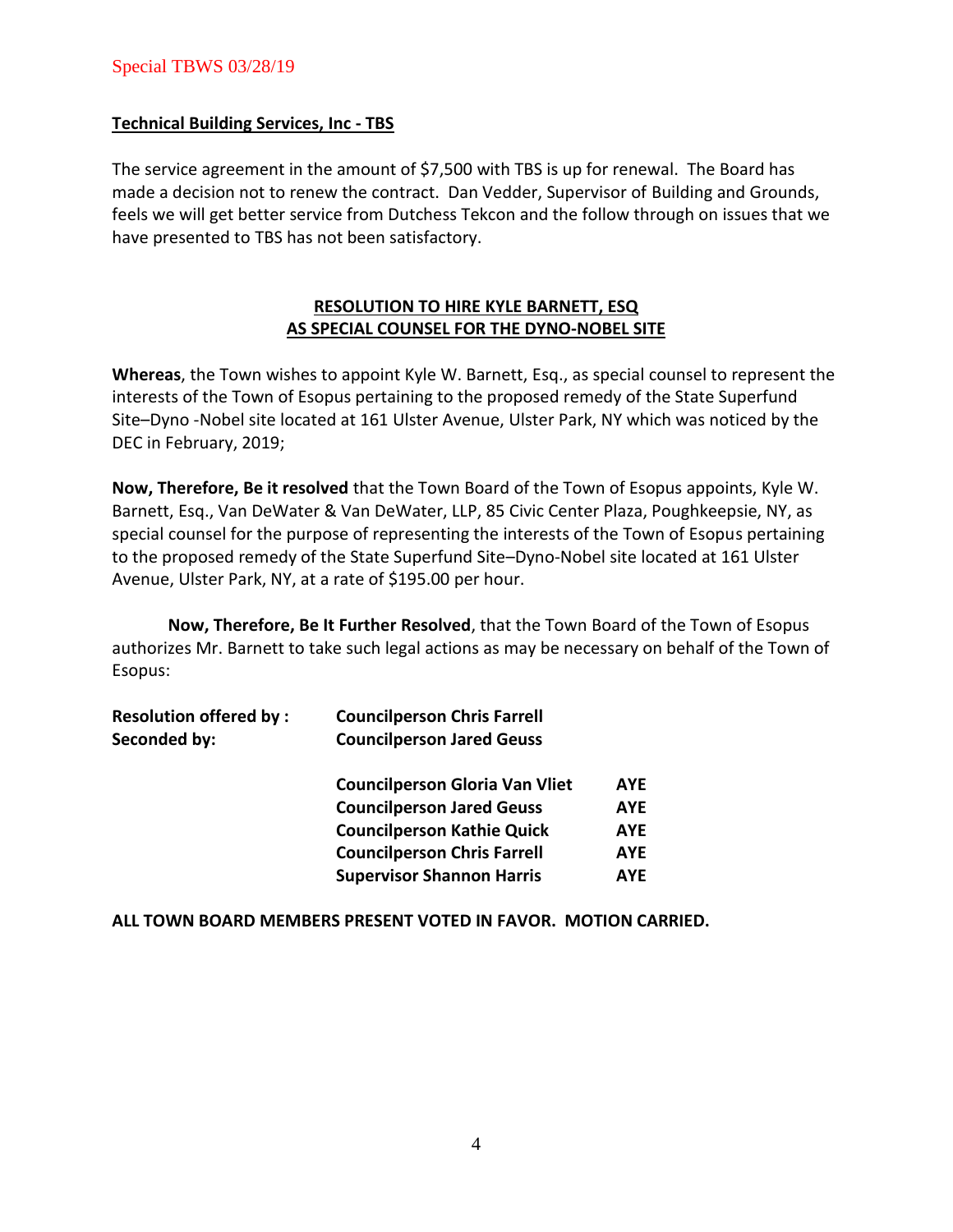# Special TBWS 03/28/19

## **Technical Building Services, Inc - TBS**

The service agreement in the amount of \$7,500 with TBS is up for renewal. The Board has made a decision not to renew the contract. Dan Vedder, Supervisor of Building and Grounds, feels we will get better service from Dutchess Tekcon and the follow through on issues that we have presented to TBS has not been satisfactory.

# **RESOLUTION TO HIRE KYLE BARNETT, ESQ AS SPECIAL COUNSEL FOR THE DYNO-NOBEL SITE**

**Whereas**, the Town wishes to appoint Kyle W. Barnett, Esq., as special counsel to represent the interests of the Town of Esopus pertaining to the proposed remedy of the State Superfund Site–Dyno -Nobel site located at 161 Ulster Avenue, Ulster Park, NY which was noticed by the DEC in February, 2019;

**Now, Therefore, Be it resolved** that the Town Board of the Town of Esopus appoints, Kyle W. Barnett, Esq., Van DeWater & Van DeWater, LLP, 85 Civic Center Plaza, Poughkeepsie, NY, as special counsel for the purpose of representing the interests of the Town of Esopus pertaining to the proposed remedy of the State Superfund Site–Dyno-Nobel site located at 161 Ulster Avenue, Ulster Park, NY, at a rate of \$195.00 per hour.

**Now, Therefore, Be It Further Resolved**, that the Town Board of the Town of Esopus authorizes Mr. Barnett to take such legal actions as may be necessary on behalf of the Town of Esopus:

| <b>Councilperson Chris Farrell</b>    |            |
|---------------------------------------|------------|
| <b>Councilperson Jared Geuss</b>      |            |
| <b>Councilperson Gloria Van Vliet</b> | AYE        |
| <b>Councilperson Jared Geuss</b>      | <b>AYE</b> |
| <b>Councilperson Kathie Quick</b>     | <b>AYE</b> |
| <b>Councilperson Chris Farrell</b>    | AYE        |
| <b>Supervisor Shannon Harris</b>      | AYE        |
|                                       |            |

**ALL TOWN BOARD MEMBERS PRESENT VOTED IN FAVOR. MOTION CARRIED.**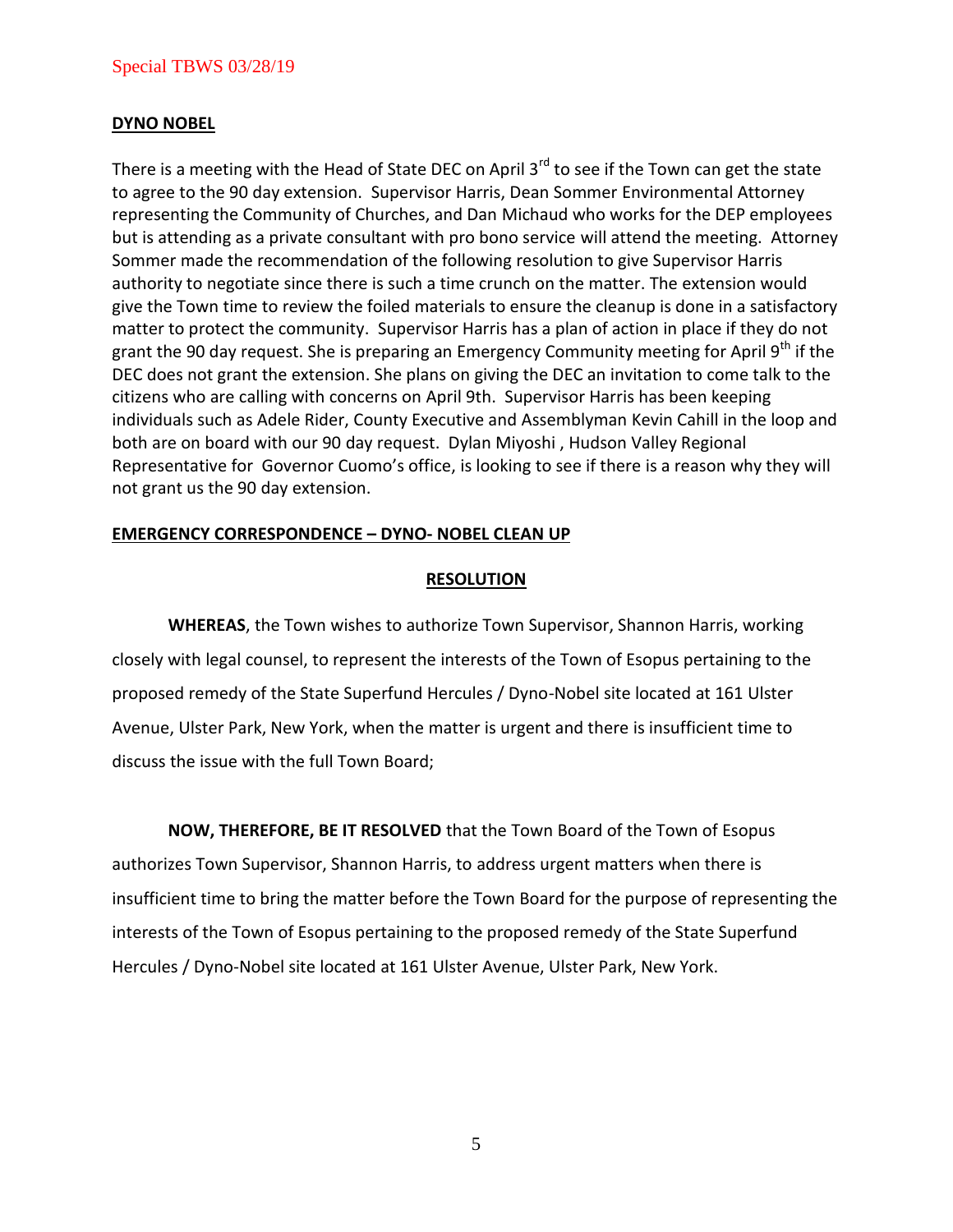## Special TBWS 03/28/19

#### **DYNO NOBEL**

There is a meeting with the Head of State DEC on April  $3^{rd}$  to see if the Town can get the state to agree to the 90 day extension. Supervisor Harris, Dean Sommer Environmental Attorney representing the Community of Churches, and Dan Michaud who works for the DEP employees but is attending as a private consultant with pro bono service will attend the meeting. Attorney Sommer made the recommendation of the following resolution to give Supervisor Harris authority to negotiate since there is such a time crunch on the matter. The extension would give the Town time to review the foiled materials to ensure the cleanup is done in a satisfactory matter to protect the community. Supervisor Harris has a plan of action in place if they do not grant the 90 day request. She is preparing an Emergency Community meeting for April 9<sup>th</sup> if the DEC does not grant the extension. She plans on giving the DEC an invitation to come talk to the citizens who are calling with concerns on April 9th. Supervisor Harris has been keeping individuals such as Adele Rider, County Executive and Assemblyman Kevin Cahill in the loop and both are on board with our 90 day request. Dylan Miyoshi , Hudson Valley Regional Representative for Governor Cuomo's office, is looking to see if there is a reason why they will not grant us the 90 day extension.

#### **EMERGENCY CORRESPONDENCE – DYNO- NOBEL CLEAN UP**

#### **RESOLUTION**

**WHEREAS**, the Town wishes to authorize Town Supervisor, Shannon Harris, working closely with legal counsel, to represent the interests of the Town of Esopus pertaining to the proposed remedy of the State Superfund Hercules / Dyno-Nobel site located at 161 Ulster Avenue, Ulster Park, New York, when the matter is urgent and there is insufficient time to discuss the issue with the full Town Board;

**NOW, THEREFORE, BE IT RESOLVED** that the Town Board of the Town of Esopus authorizes Town Supervisor, Shannon Harris, to address urgent matters when there is insufficient time to bring the matter before the Town Board for the purpose of representing the interests of the Town of Esopus pertaining to the proposed remedy of the State Superfund Hercules / Dyno-Nobel site located at 161 Ulster Avenue, Ulster Park, New York.